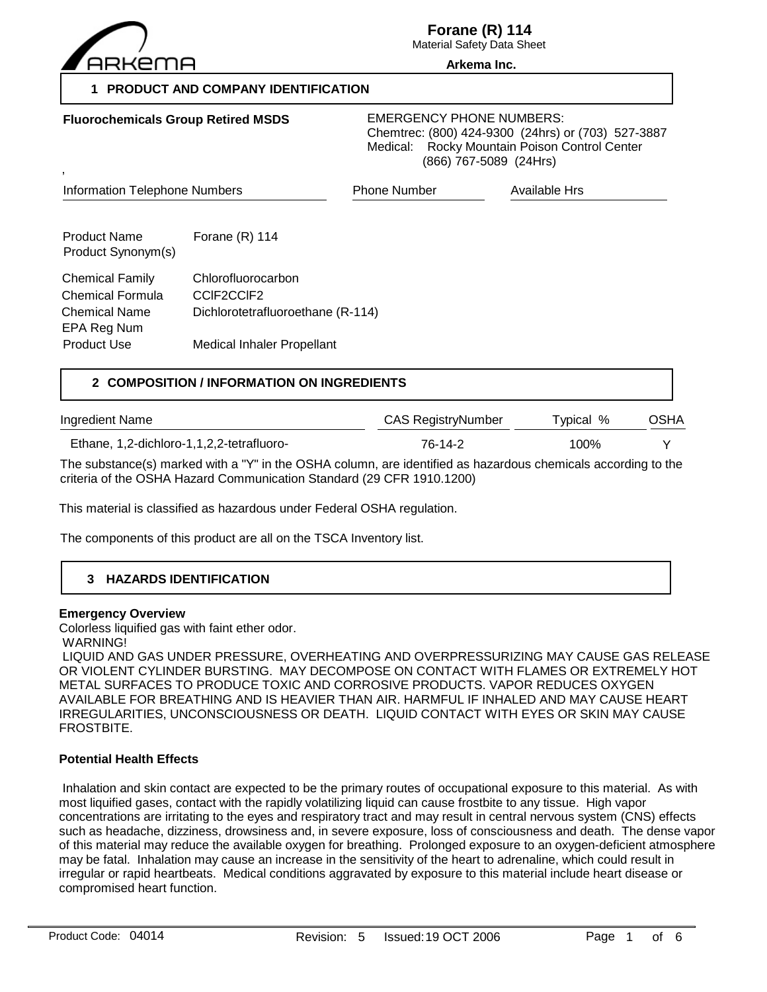

**Fluorochemicals Group Retired MSDS**

**Forane (R) 114**

Material Safety Data Sheet **Arkema Inc.**

## **1 PRODUCT AND COMPANY IDENTIFICATION**

EMERGENCY PHONE NUMBERS: Chemtrec: (800) 424-9300 (24hrs) or (703) 527-3887 Medical: Rocky Mountain Poison Control Center (866) 767-5089 (24Hrs)

| <b>Information Telephone Numbers</b>       | <b>Phone Number</b> | <b>Available Hrs</b>                                            |  |
|--------------------------------------------|---------------------|-----------------------------------------------------------------|--|
| Forane $(R)$ 114                           |                     |                                                                 |  |
| Chlorofluorocarbon<br>CCIF2CCIF2           |                     |                                                                 |  |
|                                            |                     |                                                                 |  |
| 2 COMPOSITION / INFORMATION ON INGREDIENTS |                     |                                                                 |  |
|                                            |                     | Dichlorotetrafluoroethane (R-114)<br>Medical Inhaler Propellant |  |

Ingredient Name CAS RegistryNumber Typical % OSHA Ethane, 1,2-dichloro-1,1,2,2-tetrafluoro- 76-14-2 100% Y

The substance(s) marked with a "Y" in the OSHA column, are identified as hazardous chemicals according to the criteria of the OSHA Hazard Communication Standard (29 CFR 1910.1200)

This material is classified as hazardous under Federal OSHA regulation.

The components of this product are all on the TSCA Inventory list.

# **3 HAZARDS IDENTIFICATION**

#### **Emergency Overview**

Colorless liquified gas with faint ether odor.

WARNING!

 LIQUID AND GAS UNDER PRESSURE, OVERHEATING AND OVERPRESSURIZING MAY CAUSE GAS RELEASE OR VIOLENT CYLINDER BURSTING. MAY DECOMPOSE ON CONTACT WITH FLAMES OR EXTREMELY HOT METAL SURFACES TO PRODUCE TOXIC AND CORROSIVE PRODUCTS. VAPOR REDUCES OXYGEN AVAILABLE FOR BREATHING AND IS HEAVIER THAN AIR. HARMFUL IF INHALED AND MAY CAUSE HEART IRREGULARITIES, UNCONSCIOUSNESS OR DEATH. LIQUID CONTACT WITH EYES OR SKIN MAY CAUSE FROSTBITE.

## **Potential Health Effects**

 Inhalation and skin contact are expected to be the primary routes of occupational exposure to this material. As with most liquified gases, contact with the rapidly volatilizing liquid can cause frostbite to any tissue. High vapor concentrations are irritating to the eyes and respiratory tract and may result in central nervous system (CNS) effects such as headache, dizziness, drowsiness and, in severe exposure, loss of consciousness and death. The dense vapor of this material may reduce the available oxygen for breathing. Prolonged exposure to an oxygen-deficient atmosphere may be fatal. Inhalation may cause an increase in the sensitivity of the heart to adrenaline, which could result in irregular or rapid heartbeats. Medical conditions aggravated by exposure to this material include heart disease or compromised heart function.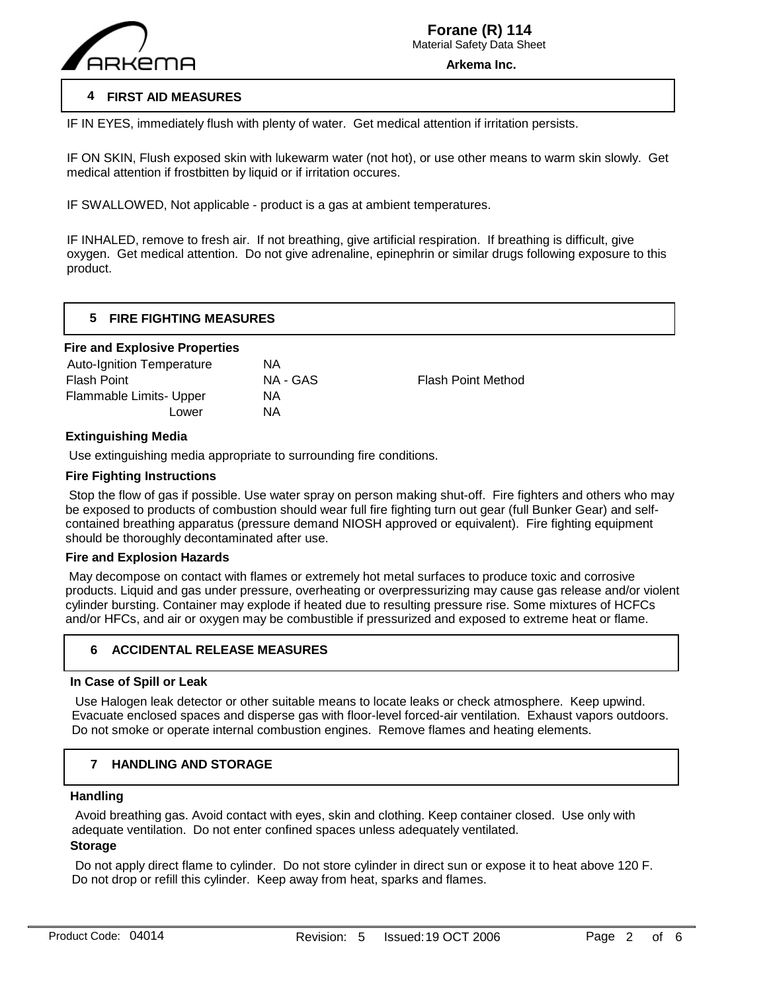

## **4 FIRST AID MEASURES**

IF IN EYES, immediately flush with plenty of water. Get medical attention if irritation persists.

IF ON SKIN, Flush exposed skin with lukewarm water (not hot), or use other means to warm skin slowly. Get medical attention if frostbitten by liquid or if irritation occures.

IF SWALLOWED, Not applicable - product is a gas at ambient temperatures.

IF INHALED, remove to fresh air. If not breathing, give artificial respiration. If breathing is difficult, give oxygen. Get medical attention. Do not give adrenaline, epinephrin or similar drugs following exposure to this product.

## **5 FIRE FIGHTING MEASURES**

#### **Fire and Explosive Properties**

| <b>Auto-Ignition Temperature</b> | ΝA       |                           |
|----------------------------------|----------|---------------------------|
| <b>Flash Point</b>               | NA - GAS | <b>Flash Point Method</b> |
| Flammable Limits- Upper          | ΝA       |                           |
| Lower                            | ΝA       |                           |
|                                  |          |                           |

#### **Extinguishing Media**

Use extinguishing media appropriate to surrounding fire conditions.

## **Fire Fighting Instructions**

 Stop the flow of gas if possible. Use water spray on person making shut-off. Fire fighters and others who may be exposed to products of combustion should wear full fire fighting turn out gear (full Bunker Gear) and selfcontained breathing apparatus (pressure demand NIOSH approved or equivalent). Fire fighting equipment should be thoroughly decontaminated after use.

#### **Fire and Explosion Hazards**

 May decompose on contact with flames or extremely hot metal surfaces to produce toxic and corrosive products. Liquid and gas under pressure, overheating or overpressurizing may cause gas release and/or violent cylinder bursting. Container may explode if heated due to resulting pressure rise. Some mixtures of HCFCs and/or HFCs, and air or oxygen may be combustible if pressurized and exposed to extreme heat or flame.

## **6 ACCIDENTAL RELEASE MEASURES**

#### **In Case of Spill or Leak**

 Use Halogen leak detector or other suitable means to locate leaks or check atmosphere. Keep upwind. Evacuate enclosed spaces and disperse gas with floor-level forced-air ventilation. Exhaust vapors outdoors. Do not smoke or operate internal combustion engines. Remove flames and heating elements.

#### **7 HANDLING AND STORAGE**

#### **Handling**

 $\overline{a}$ 

 Avoid breathing gas. Avoid contact with eyes, skin and clothing. Keep container closed. Use only with adequate ventilation. Do not enter confined spaces unless adequately ventilated.

# **Storage**

 Do not apply direct flame to cylinder. Do not store cylinder in direct sun or expose it to heat above 120 F. Do not drop or refill this cylinder. Keep away from heat, sparks and flames.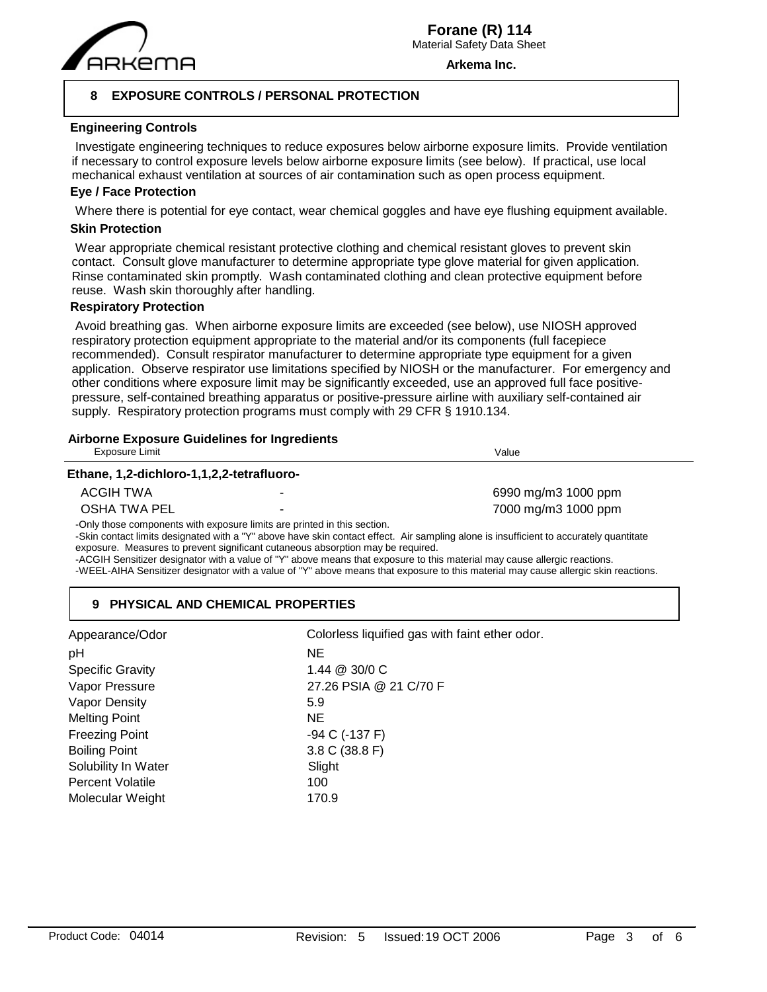

**Arkema Inc.**

## **8 EXPOSURE CONTROLS / PERSONAL PROTECTION**

#### **Engineering Controls**

 Investigate engineering techniques to reduce exposures below airborne exposure limits. Provide ventilation if necessary to control exposure levels below airborne exposure limits (see below). If practical, use local mechanical exhaust ventilation at sources of air contamination such as open process equipment.

#### **Eye / Face Protection**

Where there is potential for eye contact, wear chemical goggles and have eye flushing equipment available.

#### **Skin Protection**

 Wear appropriate chemical resistant protective clothing and chemical resistant gloves to prevent skin contact. Consult glove manufacturer to determine appropriate type glove material for given application. Rinse contaminated skin promptly. Wash contaminated clothing and clean protective equipment before reuse. Wash skin thoroughly after handling.

#### **Respiratory Protection**

 Avoid breathing gas. When airborne exposure limits are exceeded (see below), use NIOSH approved respiratory protection equipment appropriate to the material and/or its components (full facepiece recommended). Consult respirator manufacturer to determine appropriate type equipment for a given application. Observe respirator use limitations specified by NIOSH or the manufacturer. For emergency and other conditions where exposure limit may be significantly exceeded, use an approved full face positivepressure, self-contained breathing apparatus or positive-pressure airline with auxiliary self-contained air supply. Respiratory protection programs must comply with 29 CFR § 1910.134.

## **Airborne Exposure Guidelines for Ingredients**

| Exposure Limit                            |                                                                          | Value                                                                                                                                  |
|-------------------------------------------|--------------------------------------------------------------------------|----------------------------------------------------------------------------------------------------------------------------------------|
| Ethane, 1,2-dichloro-1,1,2,2-tetrafluoro- |                                                                          |                                                                                                                                        |
| ACGIH TWA                                 |                                                                          | 6990 mg/m3 1000 ppm                                                                                                                    |
| OSHA TWA PEL                              |                                                                          | 7000 mg/m3 1000 ppm                                                                                                                    |
|                                           | -Only those components with exposure limits are printed in this section. | -Skin contact limits designated with a "Y" above have skin contact effect. Air sampling alone is insufficient to accurately quantitate |

exposure. Measures to prevent significant cutaneous absorption may be required.

-ACGIH Sensitizer designator with a value of "Y" above means that exposure to this material may cause allergic reactions.

-WEEL-AIHA Sensitizer designator with a value of "Y" above means that exposure to this material may cause allergic skin reactions.

## **9 PHYSICAL AND CHEMICAL PROPERTIES**

| Appearance/Odor         | Colorless liquified gas with faint ether odor. |
|-------------------------|------------------------------------------------|
| pH                      | NE.                                            |
| <b>Specific Gravity</b> | 1.44 @ 30/0 C                                  |
| Vapor Pressure          | 27.26 PSIA @ 21 C/70 F                         |
| Vapor Density           | 5.9                                            |
| <b>Melting Point</b>    | NE.                                            |
| <b>Freezing Point</b>   | -94 C (-137 F)                                 |
| <b>Boiling Point</b>    | 3.8 C (38.8 F)                                 |
| Solubility In Water     | Slight                                         |
| <b>Percent Volatile</b> | 100                                            |
| Molecular Weight        | 170.9                                          |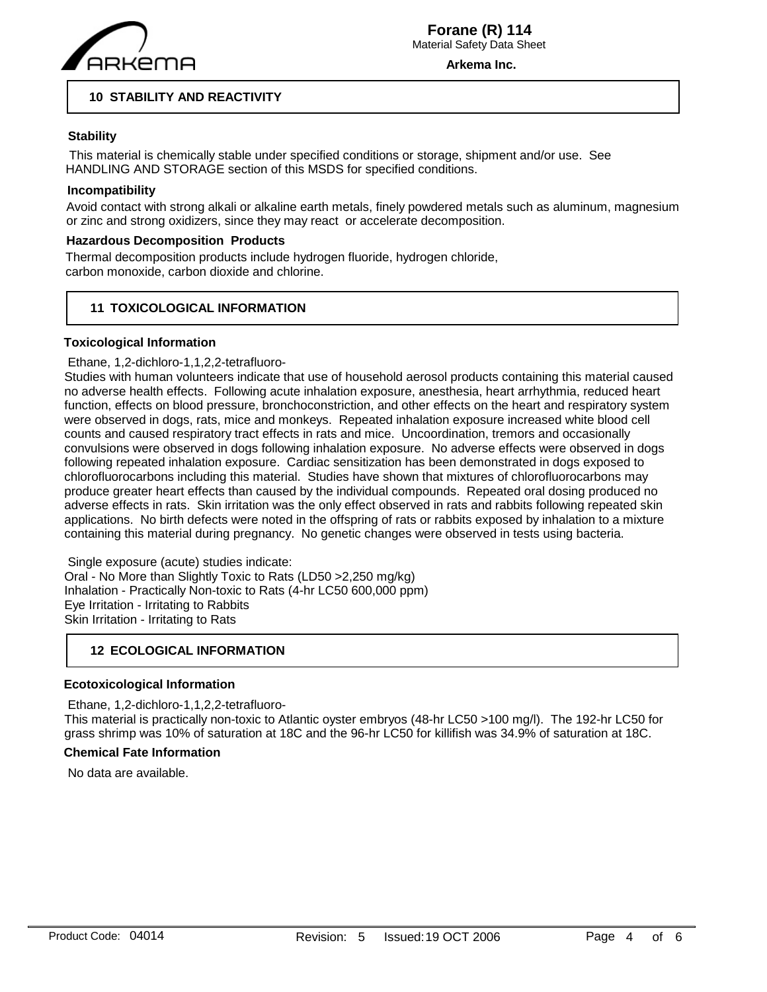

**Arkema Inc.**

## **10 STABILITY AND REACTIVITY**

## **Stability**

 This material is chemically stable under specified conditions or storage, shipment and/or use. See HANDLING AND STORAGE section of this MSDS for specified conditions.

## **Incompatibility**

Avoid contact with strong alkali or alkaline earth metals, finely powdered metals such as aluminum, magnesium or zinc and strong oxidizers, since they may react or accelerate decomposition.

## **Hazardous Decomposition Products**

Thermal decomposition products include hydrogen fluoride, hydrogen chloride, carbon monoxide, carbon dioxide and chlorine.

## **11 TOXICOLOGICAL INFORMATION**

#### **Toxicological Information**

#### Ethane, 1,2-dichloro-1,1,2,2-tetrafluoro-

Studies with human volunteers indicate that use of household aerosol products containing this material caused no adverse health effects. Following acute inhalation exposure, anesthesia, heart arrhythmia, reduced heart function, effects on blood pressure, bronchoconstriction, and other effects on the heart and respiratory system were observed in dogs, rats, mice and monkeys. Repeated inhalation exposure increased white blood cell counts and caused respiratory tract effects in rats and mice. Uncoordination, tremors and occasionally convulsions were observed in dogs following inhalation exposure. No adverse effects were observed in dogs following repeated inhalation exposure. Cardiac sensitization has been demonstrated in dogs exposed to chlorofluorocarbons including this material. Studies have shown that mixtures of chlorofluorocarbons may produce greater heart effects than caused by the individual compounds. Repeated oral dosing produced no adverse effects in rats. Skin irritation was the only effect observed in rats and rabbits following repeated skin applications. No birth defects were noted in the offspring of rats or rabbits exposed by inhalation to a mixture containing this material during pregnancy. No genetic changes were observed in tests using bacteria.

 Single exposure (acute) studies indicate: Oral - No More than Slightly Toxic to Rats (LD50 >2,250 mg/kg) Inhalation - Practically Non-toxic to Rats (4-hr LC50 600,000 ppm) Eye Irritation - Irritating to Rabbits Skin Irritation - Irritating to Rats

## **12 ECOLOGICAL INFORMATION**

#### **Ecotoxicological Information**

 Ethane, 1,2-dichloro-1,1,2,2-tetrafluoro-This material is practically non-toxic to Atlantic oyster embryos (48-hr LC50 >100 mg/l). The 192-hr LC50 for grass shrimp was 10% of saturation at 18C and the 96-hr LC50 for killifish was 34.9% of saturation at 18C.

## **Chemical Fate Information**

No data are available.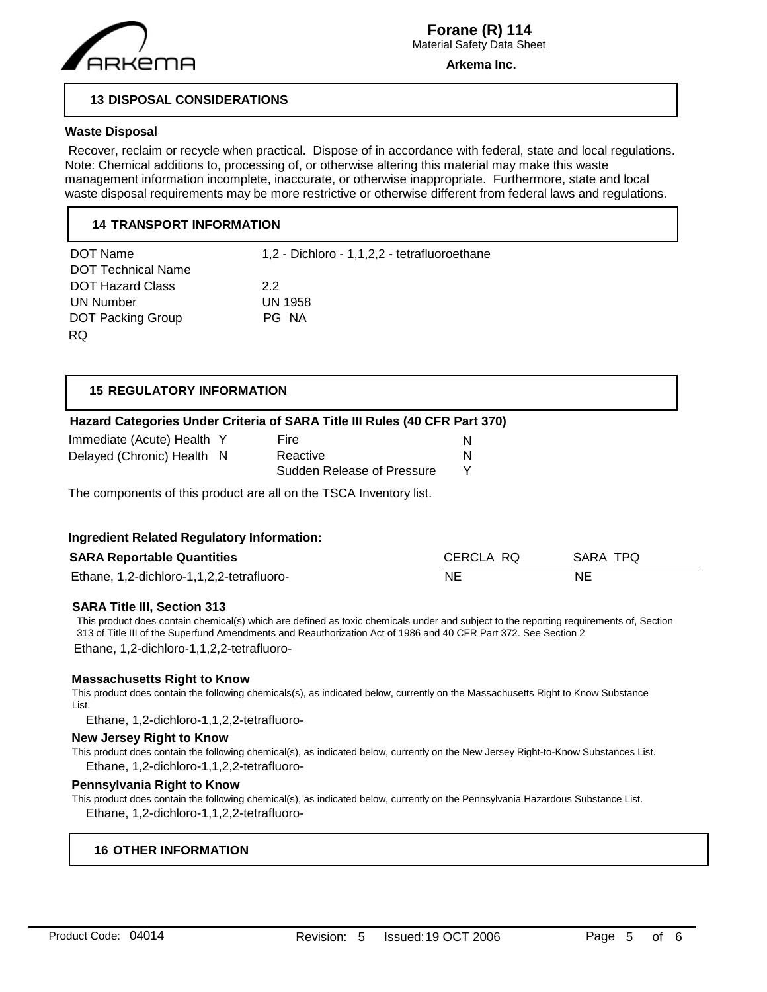

**Arkema Inc.**

## **13 DISPOSAL CONSIDERATIONS**

#### **Waste Disposal**

 Recover, reclaim or recycle when practical. Dispose of in accordance with federal, state and local regulations. Note: Chemical additions to, processing of, or otherwise altering this material may make this waste management information incomplete, inaccurate, or otherwise inappropriate. Furthermore, state and local waste disposal requirements may be more restrictive or otherwise different from federal laws and regulations.

## **14 TRANSPORT INFORMATION**

| DOT Name                  | 1,2 - Dichloro - 1,1,2,2 - tetrafluoroethane |
|---------------------------|----------------------------------------------|
| <b>DOT Technical Name</b> |                                              |
| <b>DOT Hazard Class</b>   | 22                                           |
| UN Number                 | <b>UN 1958</b>                               |
| <b>DOT Packing Group</b>  | PG NA                                        |
| RQ.                       |                                              |

| <b>15 REGULATORY INFORMATION</b> |                                                                            |   |
|----------------------------------|----------------------------------------------------------------------------|---|
|                                  | Hazard Categories Under Criteria of SARA Title III Rules (40 CFR Part 370) |   |
| Immediate (Acute) Health Y       | Fire                                                                       | N |
| Delayed (Chronic) Health N       | Reactive                                                                   | N |
|                                  | Sudden Release of Pressure                                                 | v |

The components of this product are all on the TSCA Inventory list.

#### **Ingredient Related Regulatory Information:**

| <b>SARA Reportable Quantities</b>         | CERCLA RO | SARA TPQ |
|-------------------------------------------|-----------|----------|
| Ethane, 1,2-dichloro-1,1,2,2-tetrafluoro- | ΝE        | NE       |

#### **SARA Title III, Section 313**

This product does contain chemical(s) which are defined as toxic chemicals under and subject to the reporting requirements of, Section 313 of Title III of the Superfund Amendments and Reauthorization Act of 1986 and 40 CFR Part 372. See Section 2

Ethane, 1,2-dichloro-1,1,2,2-tetrafluoro-

#### **Massachusetts Right to Know**

This product does contain the following chemicals(s), as indicated below, currently on the Massachusetts Right to Know Substance List.

Ethane, 1,2-dichloro-1,1,2,2-tetrafluoro-

## **New Jersey Right to Know**

This product does contain the following chemical(s), as indicated below, currently on the New Jersey Right-to-Know Substances List. Ethane, 1,2-dichloro-1,1,2,2-tetrafluoro-

#### **Pennsylvania Right to Know**

This product does contain the following chemical(s), as indicated below, currently on the Pennsylvania Hazardous Substance List. Ethane, 1,2-dichloro-1,1,2,2-tetrafluoro-

## **16 OTHER INFORMATION**